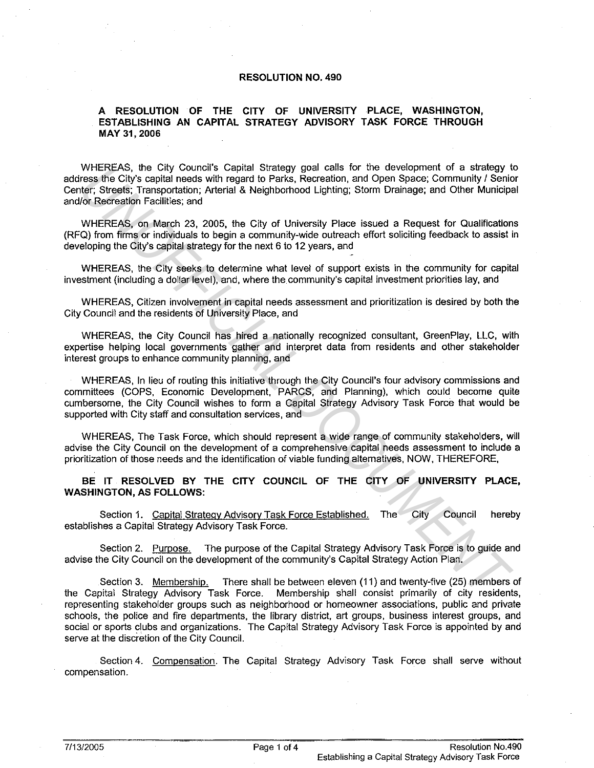## **RESOLUTION NO. 490**

## **A RESOLUTION OF THE CITY OF UNIVERSITY PLACE, WASHINGTON, ESTABLISHING AN CAPITAL STRATEGY ADVISORY TASK FORCE THROUGH MAY 31, 2006**

WHEREAS, the City Council's Capital Strategy goal calls for the development of a strategy to address the City's capital needs with regard to Parks, Recreation, and Open Space; Community / Senior Center; Streets; Transportation; Arterial & Neighborhood Lighting; Storm Drainage; and other Municipal and/or Recreation Facilities; and

WHEREAS, on March 23, 2005, the City of University Place issued a Request for Qualifications (RFQ) from firms or individuals to begin a community-wide outreach effort soliciting feedback to assist in developing the City's capital strategy for the next 6 to 12 years, and

WHEREAS, the City seeks to determine what level of support exists in the community for capital investment (including a dollar level), and, where the community's capital investment priorities lay, and

WHEREAS, Citizen involvement in capital needs assessment and prioritization is desired by both the City Council and the residents of University Place, and

WHEREAS, the City Council has hired a nationally recognized consultant, GreenPlay, LLC, with expertise helping local governments gather and interpret data from residents and other stakeholder interest groups to enhance community planning, and

WHEREAS, In lieu of routing this initiative through the City Council's four advisory commissions and committees (COPS. Economic Development, PARCS, and Planning), which could become quite cumbersome, the City Council wishes to form a Capital Strategy Advisory Task Force that would be supported with City staff and consultation services, and WHEREAS, the City Council Stapied Statistics of the Geology and the City of the City Sendery (1981 and the method of the Statistics), Arthur City and City Sender (Steels: Transportation, Arterial & Neighborhood Lighting; S

WHEREAS, The Task Force, which should represent a wide range of community stakeholders, will advise the City Council on the development of a comprehensive capital needs assessment to include a prioritization of those needs and the identification of viable funding alternatives, NOW, THEREFORE,

**BE IT RESOLVED BY THE CITY COUNCIL OF THE CITY OF UNIVERSITY PLACE, WASHINGTON, AS FOLLOWS:** 

Section 1. Capital Strategy Advisory Task Force Established. The City Council hereby establishes a Capital Strategy Advisory Task Force.

Section 2. Purpose. The purpose of the Capital Strategy Advisory Task Force is to guide and advise the City Council on the development of the community's Capital Strategy Action Plan.

Section 3. Membership. There shall be between eleven (11) and twenty-five (25) members of the Capital Strategy Advisory Task Force. Membership shall consist primarily of city residents, representing stakeholder groups such as neighborhood or homeowner associations, public and private schools, the police and fire departments, the library district, art groups, business interest groups, and social or sports clubs and organizations. The Capital Strategy Advisory Task Force is appointed by and serve at the discretion of the City Council.

Section 4. Compensation. The Capital Strategy Advisory Task Force shall serve without compensation.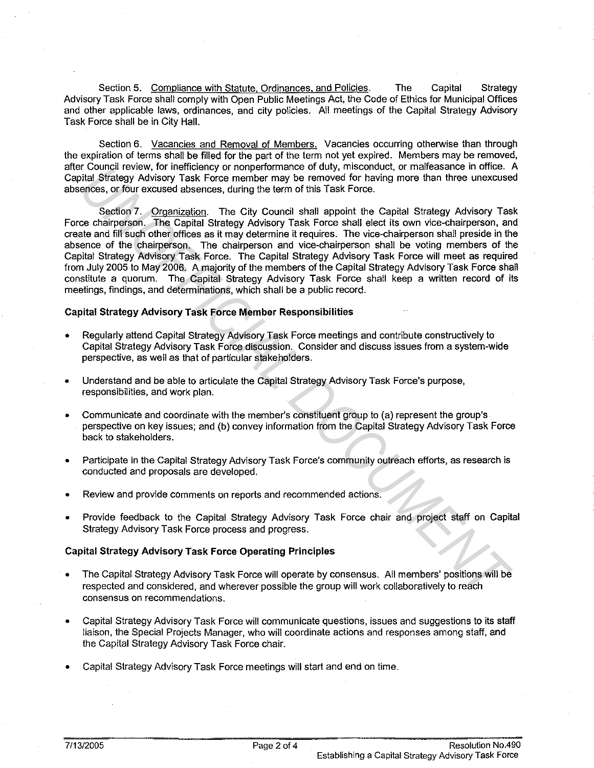Section 5. Compliance with Statute, Ordinances, and Policies. The Capital Strategy Advisory Task Force shall comply with Open Public Meetings Act, the Code of Ethics for Municipal Offices and other applicable laws, ordinances, and city policies. All meetings of the Capital Strategy Advisory Task Force shall be in City Hall.

Section 6. Vacancies and Removal of Members. Vacancies occurring otherwise than through the expiration of terms shall be filled for the part of the term not yet expired. Members may be removed, after Council review, for inefficiency or nonperformance of duty, misconduct, or malfeasance in office. A Capital Strategy Advisory Task Force member may be removed for having more than three unexcused absences, or four excused absences, during the term of this Task Force.

Section 7. Organization. The City Council shall appoint the Capital Strategy Advisory Task Force chairperson. The Capital Strategy Advisory Task Force shall elect its own vice-chairperson, and create and fill such other offices as it may determine it requires. The vice-chairperson shall preside in the absence of the chairperson. The chairperson and vice-chairperson shall be voting members of the Capital Strategy Advisory Task Force. The Capital Strategy Advisory Task Force will meet as required from July 2005 to May 2006. A majority of the members of the Capital Strategy Advisory Task Force shall constitute a quorum. The Capital Strategy Advisory Task Force shall keep a written record of its meetings, findings, and determinations, which shall be a public record. Contrict review, for inferiolating of nonperatormations of oully, misconduct, or materiassing in controls of the Capital Strategy Advisory Task Force and properties, or four excused absences, during the term of this Task F

## **Capital Strategy Advisory Task Force Member Responsibilities**

- Regularly attend Capital Strategy Advisory Task Force meetings and contribute constructively to Capital Strategy Advisory Task Force discussion. Consider and discuss issues from a system-wide perspective, as well as that of particular stakeholders.
- Understand and be able to articulate the Capital Strategy Advisory Task Force's purpose, responsibilities, and work plan.
- Communicate and coordinate with the member's constituent group to (a) represent the group's perspective on key issues; and (b) convey information from the Capital Strategy Advisory Task Force back to stakeholders.
- Participate in the Capital Strategy Advisory Task Force's community outreach efforts, as research is conducted and proposals are developed.
- Review and provide comments on reports and recommended actions.
- Provide feedback to the Capital Strategy Advisory Task Force chair and project staff on Capital Strategy Advisory Task Force process and progress.

## **Capital Strategy Advisory Task Force Operating Principles**

- The Capital Strategy Advisory Task Force will operate by consensus. All members' positions will be respected and considered, and wherever possible the group will work collaboratively to reach consensus on recommendations.
- Capital Strategy Advisory Task Force will communicate questions, issues and suggestions to its staff liaison, the Special Projects Manager, who will coordinate actions and responses among staff, and the Capital Strategy Advisory Task Force chair.
- Capital Strategy Advisory Task Force meetings will start and end on time.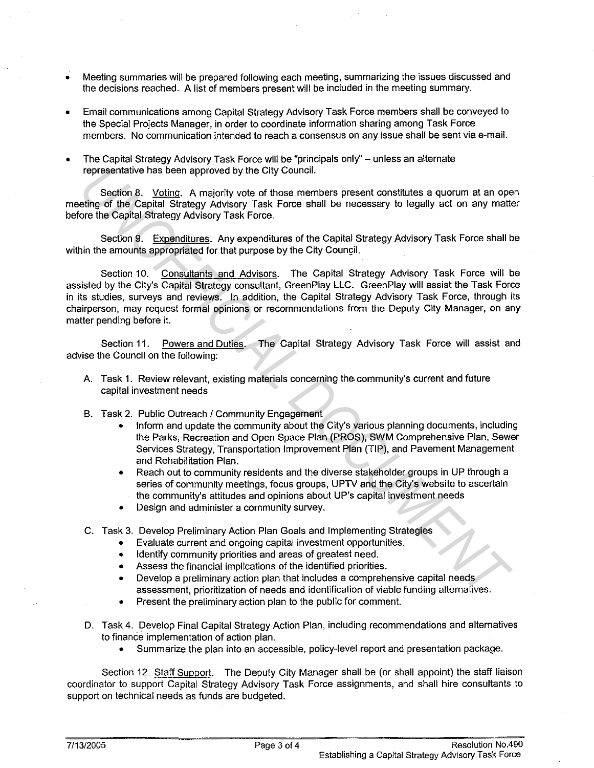- Meeting summaries will be prepared following each meeting, summarizing the issues discussed and the decisions reached. A list of members present will be included in the meeting summary.
- Email communications among Capital Strategy Advisory Task Force members shall be conveyed to the Special Projects Manager, in order to coordinate information sharing among Task Force members. No communication intended to reach a consensus on any issue shall be sent via e-mail.
- The Capital Strategy Advisory Task Force will be "principals only" unless an alternate representative has been approved by the City Council.

Section 8. Voting. A majority vote of those members present constitutes a quorum at an open meeting of the Capital Strategy Advisory Task Force shall be necessary to legally act on any matter before the Capital Strategy Advisory Task Force.

Section 9. Expenditures. Any expenditures of the Capital Strategy Advisory Task Force shall be within the amounts appropriated for that purpose by the City Council.

Section 10. Consultants and Advisors. The Capital Strategy Advisory Task Force will be assisted by the City's Capital Strategy consultant, GreenPlay LLC. GreenPlay will assist the Task Force in its studies, surveys and reviews. In addition, the Capital Strategy Advisory Task Force, through its chairperson, may request formal opinions or recommendations from the Deputy City Manager, on any matter pending before it. representative has been approved by the City Council.<br> **Excelling 6.** Volting: A majority volt of those members present constitutes a quorum at an operago of the Capital Strategy Advisory Task Force shall be necessary to l

Section 11. Powers and Duties. The Capital Strategy Advisory Task Force will assist and advise the Council on the following:

- A. Task 1. Review relevant, existing materials concerning the community's current and future capital investment needs
- B. Task 2. Public Outreach / Community Engagement
	- Inform and update the community about the City's various planning documents, including the Parks, Recreation and Open Space Plan (PROS), SWM Comprehensive Plan, Sewer Services Strategy, Transportation Improvement Plan (TIP), and Pavement Management and Rehabilitation Plan.
	- Reach out to community residents and the diverse stakeholder groups in UP through a series of community meetings, focus groups, UPTV and the City's website to ascertain the community's attitudes and opinions about UP's capital investment needs
	- Design and administer a community survey.
- C. Task 3. Develop Preliminary Action Plan Goals and Implementing Strategies
	- Evaluate current and ongoing capital investment opportunities.
	- Identify community priorities and areas of greatest need.
	- Assess the financial implications of the identified priorities.
	- Develop a preliminary action plan that includes a comprehensive capital needs assessment, prioritization of needs and identification of viable funding alternatives.
	- Present the preliminary action plan to the public for comment.
- D. Task 4. Develop Final Capital Strategy Action Plan, including recommendations and alternatives to finance implementation of action plan.
	- Summarize the plan into an accessible, policy-level report and presentation package.

Section 12. Staff Support. The Deputy City Manager shall be (or shall appoint) the staff liaison coordinator to support Capital Strategy Advisory Task Force assignments, and shall hire consultants to support on technical needs as funds are budgeted.